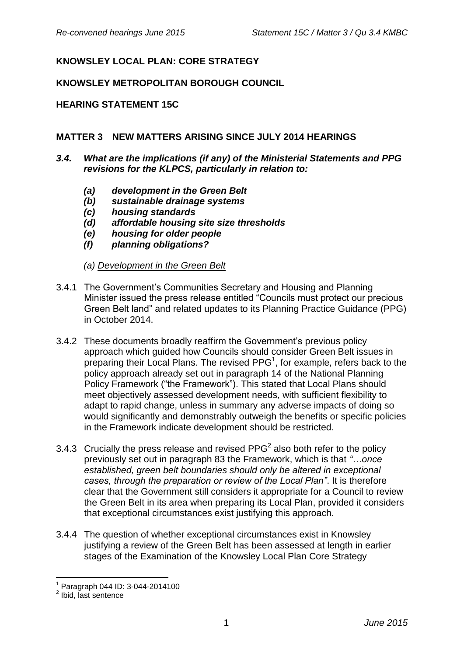# **KNOWSLEY LOCAL PLAN: CORE STRATEGY**

### **KNOWSLEY METROPOLITAN BOROUGH COUNCIL**

### **HEARING STATEMENT 15C**

### **MATTER 3 NEW MATTERS ARISING SINCE JULY 2014 HEARINGS**

- *3.4. What are the implications (if any) of the Ministerial Statements and PPG revisions for the KLPCS, particularly in relation to:*
	- *(a) development in the Green Belt*
	- *(b) sustainable drainage systems*
	- *(c) housing standards*
	- *(d) affordable housing site size thresholds*
	- *(e) housing for older people*
	- *(f) planning obligations?*
	- *(a) Development in the Green Belt*
- 3.4.1 The Government's Communities Secretary and Housing and Planning Minister issued the press release entitled "Councils must protect our precious Green Belt land" and related updates to its Planning Practice Guidance (PPG) in October 2014.
- 3.4.2 These documents broadly reaffirm the Government's previous policy approach which guided how Councils should consider Green Belt issues in preparing their Local Plans. The revised  $PPG<sup>1</sup>$ , for example, refers back to the policy approach already set out in paragraph 14 of the National Planning Policy Framework ("the Framework"). This stated that Local Plans should meet objectively assessed development needs, with sufficient flexibility to adapt to rapid change, unless in summary any adverse impacts of doing so would significantly and demonstrably outweigh the benefits or specific policies in the Framework indicate development should be restricted.
- 3.4.3 Crucially the press release and revised PPG<sup>2</sup> also both refer to the policy previously set out in paragraph 83 the Framework, which is that *"…once established, green belt boundaries should only be altered in exceptional cases, through the preparation or review of the Local Plan"*. It is therefore clear that the Government still considers it appropriate for a Council to review the Green Belt in its area when preparing its Local Plan, provided it considers that exceptional circumstances exist justifying this approach.
- 3.4.4 The question of whether exceptional circumstances exist in Knowsley justifying a review of the Green Belt has been assessed at length in earlier stages of the Examination of the Knowsley Local Plan Core Strategy

1

<sup>1</sup> Paragraph 044 ID: 3-044-2014100

<sup>&</sup>lt;sup>2</sup> Ibid, last sentence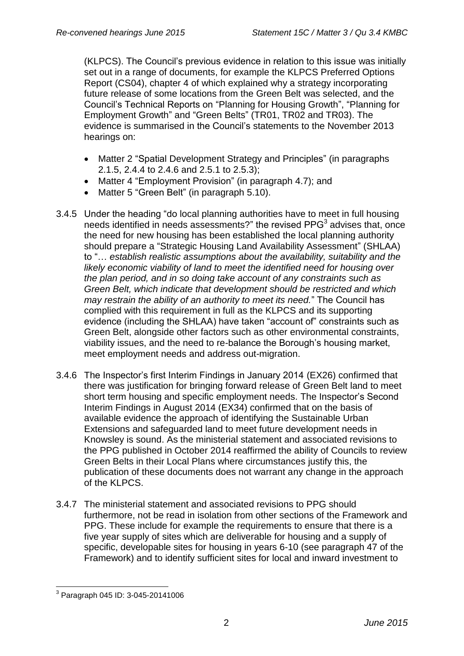(KLPCS). The Council's previous evidence in relation to this issue was initially set out in a range of documents, for example the KLPCS Preferred Options Report (CS04), chapter 4 of which explained why a strategy incorporating future release of some locations from the Green Belt was selected, and the Council's Technical Reports on "Planning for Housing Growth", "Planning for Employment Growth" and "Green Belts" (TR01, TR02 and TR03). The evidence is summarised in the Council's statements to the November 2013 hearings on:

- Matter 2 "Spatial Development Strategy and Principles" (in paragraphs 2.1.5, 2.4.4 to 2.4.6 and 2.5.1 to 2.5.3);
- Matter 4 "Employment Provision" (in paragraph 4.7); and
- Matter 5 "Green Belt" (in paragraph 5.10).
- 3.4.5 Under the heading "do local planning authorities have to meet in full housing needs identified in needs assessments?" the revised  $PPG<sup>3</sup>$  advises that, once the need for new housing has been established the local planning authority should prepare a "Strategic Housing Land Availability Assessment" (SHLAA) to "… *establish realistic assumptions about the availability, suitability and the likely economic viability of land to meet the identified need for housing over the plan period, and in so doing take account of any constraints such as Green Belt, which indicate that development should be restricted and which may restrain the ability of an authority to meet its need.*" The Council has complied with this requirement in full as the KLPCS and its supporting evidence (including the SHLAA) have taken "account of" constraints such as Green Belt, alongside other factors such as other environmental constraints, viability issues, and the need to re-balance the Borough's housing market, meet employment needs and address out-migration.
- 3.4.6 The Inspector's first Interim Findings in January 2014 (EX26) confirmed that there was justification for bringing forward release of Green Belt land to meet short term housing and specific employment needs. The Inspector's Second Interim Findings in August 2014 (EX34) confirmed that on the basis of available evidence the approach of identifying the Sustainable Urban Extensions and safeguarded land to meet future development needs in Knowsley is sound. As the ministerial statement and associated revisions to the PPG published in October 2014 reaffirmed the ability of Councils to review Green Belts in their Local Plans where circumstances justify this, the publication of these documents does not warrant any change in the approach of the KLPCS.
- 3.4.7 The ministerial statement and associated revisions to PPG should furthermore, not be read in isolation from other sections of the Framework and PPG. These include for example the requirements to ensure that there is a five year supply of sites which are deliverable for housing and a supply of specific, developable sites for housing in years 6-10 (see paragraph 47 of the Framework) and to identify sufficient sites for local and inward investment to

 3 Paragraph 045 ID: 3-045-20141006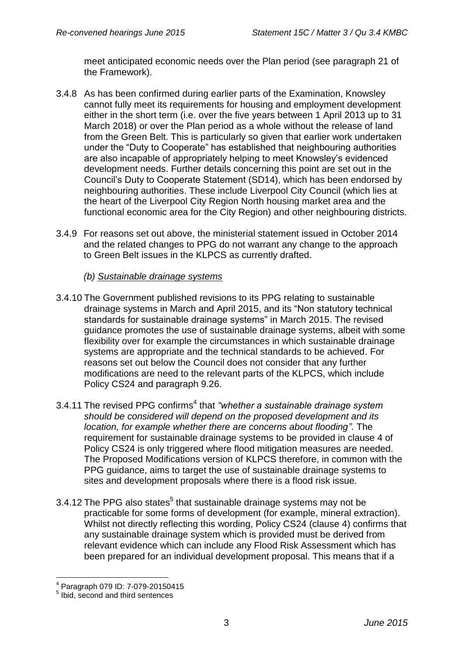meet anticipated economic needs over the Plan period (see paragraph 21 of the Framework).

- 3.4.8 As has been confirmed during earlier parts of the Examination, Knowsley cannot fully meet its requirements for housing and employment development either in the short term (i.e. over the five years between 1 April 2013 up to 31 March 2018) or over the Plan period as a whole without the release of land from the Green Belt. This is particularly so given that earlier work undertaken under the "Duty to Cooperate" has established that neighbouring authorities are also incapable of appropriately helping to meet Knowsley's evidenced development needs. Further details concerning this point are set out in the Council's Duty to Cooperate Statement (SD14), which has been endorsed by neighbouring authorities. These include Liverpool City Council (which lies at the heart of the Liverpool City Region North housing market area and the functional economic area for the City Region) and other neighbouring districts.
- 3.4.9 For reasons set out above, the ministerial statement issued in October 2014 and the related changes to PPG do not warrant any change to the approach to Green Belt issues in the KLPCS as currently drafted.
	- *(b) Sustainable drainage systems*
- 3.4.10 The Government published revisions to its PPG relating to sustainable drainage systems in March and April 2015, and its "Non statutory technical standards for sustainable drainage systems" in March 2015. The revised guidance promotes the use of sustainable drainage systems, albeit with some flexibility over for example the circumstances in which sustainable drainage systems are appropriate and the technical standards to be achieved. For reasons set out below the Council does not consider that any further modifications are need to the relevant parts of the KLPCS, which include Policy CS24 and paragraph 9.26.
- 3.4.11 The revised PPG confirms<sup>4</sup> that "whether a sustainable drainage system *should be considered will depend on the proposed development and its location, for example whether there are concerns about flooding"*. The requirement for sustainable drainage systems to be provided in clause 4 of Policy CS24 is only triggered where flood mitigation measures are needed. The Proposed Modifications version of KLPCS therefore, in common with the PPG guidance, aims to target the use of sustainable drainage systems to sites and development proposals where there is a flood risk issue.
- 3.4.12 The PPG also states<sup>5</sup> that sustainable drainage systems may not be practicable for some forms of development (for example, mineral extraction). Whilst not directly reflecting this wording, Policy CS24 (clause 4) confirms that any sustainable drainage system which is provided must be derived from relevant evidence which can include any Flood Risk Assessment which has been prepared for an individual development proposal. This means that if a

 4 Paragraph 079 ID: 7-079-20150415

<sup>5</sup> Ibid, second and third sentences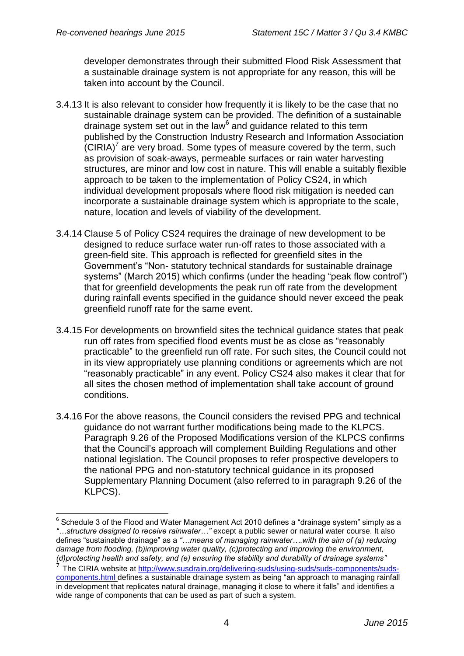developer demonstrates through their submitted Flood Risk Assessment that a sustainable drainage system is not appropriate for any reason, this will be taken into account by the Council.

- 3.4.13 It is also relevant to consider how frequently it is likely to be the case that no sustainable drainage system can be provided. The definition of a sustainable drainage system set out in the law $6$  and guidance related to this term published by the Construction Industry Research and Information Association  $(CIRIA)^7$  are very broad. Some types of measure covered by the term, such as provision of soak-aways, permeable surfaces or rain water harvesting structures, are minor and low cost in nature. This will enable a suitably flexible approach to be taken to the implementation of Policy CS24, in which individual development proposals where flood risk mitigation is needed can incorporate a sustainable drainage system which is appropriate to the scale, nature, location and levels of viability of the development.
- 3.4.14 Clause 5 of Policy CS24 requires the drainage of new development to be designed to reduce surface water run-off rates to those associated with a green-field site. This approach is reflected for greenfield sites in the Government's "Non- statutory technical standards for sustainable drainage systems" (March 2015) which confirms (under the heading "peak flow control") that for greenfield developments the peak run off rate from the development during rainfall events specified in the guidance should never exceed the peak greenfield runoff rate for the same event.
- 3.4.15 For developments on brownfield sites the technical guidance states that peak run off rates from specified flood events must be as close as "reasonably practicable" to the greenfield run off rate. For such sites, the Council could not in its view appropriately use planning conditions or agreements which are not "reasonably practicable" in any event. Policy CS24 also makes it clear that for all sites the chosen method of implementation shall take account of ground conditions.
- 3.4.16 For the above reasons, the Council considers the revised PPG and technical guidance do not warrant further modifications being made to the KLPCS. Paragraph 9.26 of the Proposed Modifications version of the KLPCS confirms that the Council's approach will complement Building Regulations and other national legislation. The Council proposes to refer prospective developers to the national PPG and non-statutory technical guidance in its proposed Supplementary Planning Document (also referred to in paragraph 9.26 of the KLPCS).

 6 Schedule 3 of the Flood and Water Management Act 2010 defines a "drainage system" simply as a *"…structure designed to receive rainwater…"* except a public sewer or natural water course. It also defines "sustainable drainage" as a *"…means of managing rainwater….with the aim of (a) reducing damage from flooding, (b)improving water quality, (c)protecting and improving the environment, (d)protecting health and safety, and (e) ensuring the stability and durability of drainage systems"*

<sup>7</sup> The CIRIA website at [http://www.susdrain.org/delivering-suds/using-suds/suds-components/suds](http://www.susdrain.org/delivering-suds/using-suds/suds-components/suds-components.html)[components.html](http://www.susdrain.org/delivering-suds/using-suds/suds-components/suds-components.html) defines a sustainable drainage system as being "an approach to managing rainfall in development that replicates natural drainage, managing it close to where it falls" and identifies a wide range of components that can be used as part of such a system.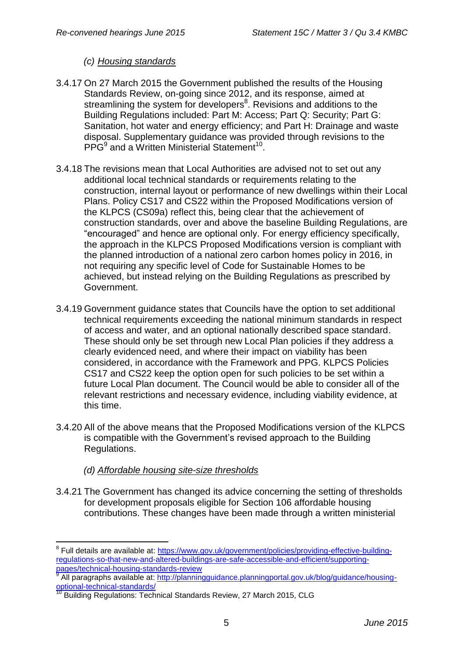## *(c) Housing standards*

- 3.4.17 On 27 March 2015 the Government published the results of the Housing Standards Review, on-going since 2012, and its response, aimed at streamlining the system for developers<sup>8</sup>. Revisions and additions to the Building Regulations included: Part M: Access; Part Q: Security; Part G: Sanitation, hot water and energy efficiency; and Part H: Drainage and waste disposal. Supplementary guidance was provided through revisions to the PPG<sup>9</sup> and a Written Ministerial Statement<sup>10</sup>.
- 3.4.18 The revisions mean that Local Authorities are advised not to set out any additional local technical standards or requirements relating to the construction, internal layout or performance of new dwellings within their Local Plans. Policy CS17 and CS22 within the Proposed Modifications version of the KLPCS (CS09a) reflect this, being clear that the achievement of construction standards, over and above the baseline Building Regulations, are "encouraged" and hence are optional only. For energy efficiency specifically, the approach in the KLPCS Proposed Modifications version is compliant with the planned introduction of a national zero carbon homes policy in 2016, in not requiring any specific level of Code for Sustainable Homes to be achieved, but instead relying on the Building Regulations as prescribed by Government.
- 3.4.19 Government guidance states that Councils have the option to set additional technical requirements exceeding the national minimum standards in respect of access and water, and an optional nationally described space standard. These should only be set through new Local Plan policies if they address a clearly evidenced need, and where their impact on viability has been considered, in accordance with the Framework and PPG. KLPCS Policies CS17 and CS22 keep the option open for such policies to be set within a future Local Plan document. The Council would be able to consider all of the relevant restrictions and necessary evidence, including viability evidence, at this time.
- 3.4.20 All of the above means that the Proposed Modifications version of the KLPCS is compatible with the Government's revised approach to the Building Regulations.

### *(d) Affordable housing site-size thresholds*

1

3.4.21 The Government has changed its advice concerning the setting of thresholds for development proposals eligible for Section 106 affordable housing contributions. These changes have been made through a written ministerial

<sup>&</sup>lt;sup>8</sup> Full details are available at: [https://www.gov.uk/government/policies/providing-effective-building](https://www.gov.uk/government/policies/providing-effective-building-regulations-so-that-new-and-altered-buildings-are-safe-accessible-and-efficient/supporting-pages/technical-housing-standards-review)[regulations-so-that-new-and-altered-buildings-are-safe-accessible-and-efficient/supporting](https://www.gov.uk/government/policies/providing-effective-building-regulations-so-that-new-and-altered-buildings-are-safe-accessible-and-efficient/supporting-pages/technical-housing-standards-review)[pages/technical-housing-standards-review](https://www.gov.uk/government/policies/providing-effective-building-regulations-so-that-new-and-altered-buildings-are-safe-accessible-and-efficient/supporting-pages/technical-housing-standards-review) 9

All paragraphs available at: [http://planningguidance.planningportal.gov.uk/blog/guidance/housing](http://planningguidance.planningportal.gov.uk/blog/guidance/housing-optional-technical-standards/)[optional-technical-standards/](http://planningguidance.planningportal.gov.uk/blog/guidance/housing-optional-technical-standards/)

<sup>10</sup> Building Regulations: Technical Standards Review, 27 March 2015, CLG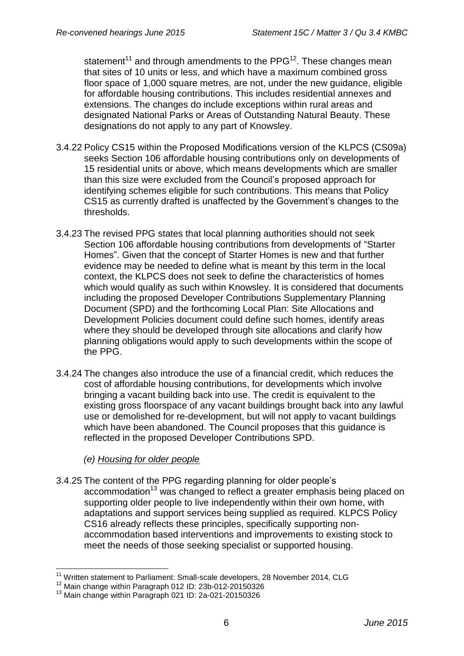statement<sup>11</sup> and through amendments to the PPG<sup>12</sup>. These changes mean that sites of 10 units or less, and which have a maximum combined gross floor space of 1,000 square metres, are not, under the new guidance, eligible for affordable housing contributions. This includes residential annexes and extensions. The changes do include exceptions within rural areas and designated National Parks or Areas of Outstanding Natural Beauty. These designations do not apply to any part of Knowsley.

- 3.4.22 Policy CS15 within the Proposed Modifications version of the KLPCS (CS09a) seeks Section 106 affordable housing contributions only on developments of 15 residential units or above, which means developments which are smaller than this size were excluded from the Council's proposed approach for identifying schemes eligible for such contributions. This means that Policy CS15 as currently drafted is unaffected by the Government's changes to the thresholds.
- 3.4.23 The revised PPG states that local planning authorities should not seek Section 106 affordable housing contributions from developments of "Starter Homes". Given that the concept of Starter Homes is new and that further evidence may be needed to define what is meant by this term in the local context, the KLPCS does not seek to define the characteristics of homes which would qualify as such within Knowsley. It is considered that documents including the proposed Developer Contributions Supplementary Planning Document (SPD) and the forthcoming Local Plan: Site Allocations and Development Policies document could define such homes, identify areas where they should be developed through site allocations and clarify how planning obligations would apply to such developments within the scope of the PPG.
- 3.4.24 The changes also introduce the use of a financial credit, which reduces the cost of affordable housing contributions, for developments which involve bringing a vacant building back into use. The credit is equivalent to the existing gross floorspace of any vacant buildings brought back into any lawful use or demolished for re-development, but will not apply to vacant buildings which have been abandoned. The Council proposes that this guidance is reflected in the proposed Developer Contributions SPD.

### *(e) Housing for older people*

3.4.25 The content of the PPG regarding planning for older people's accommodation<sup>13</sup> was changed to reflect a greater emphasis being placed on supporting older people to live independently within their own home, with adaptations and support services being supplied as required. KLPCS Policy CS16 already reflects these principles, specifically supporting nonaccommodation based interventions and improvements to existing stock to meet the needs of those seeking specialist or supported housing.

<sup>1</sup> <sup>11</sup> Written statement to Parliament: Small-scale developers, 28 November 2014, CLG

<sup>12</sup> Main change within Paragraph 012 ID: 23b-012-20150326

<sup>&</sup>lt;sup>13</sup> Main change within Paragraph 021 ID: 2a-021-20150326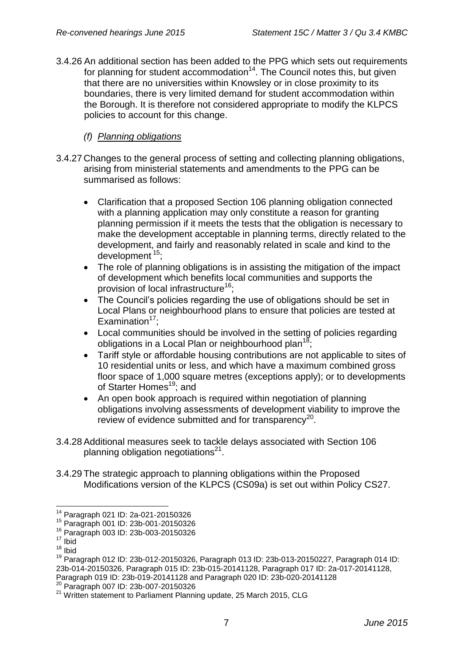3.4.26 An additional section has been added to the PPG which sets out requirements for planning for student accommodation<sup>14</sup>. The Council notes this, but given that there are no universities within Knowsley or in close proximity to its boundaries, there is very limited demand for student accommodation within the Borough. It is therefore not considered appropriate to modify the KLPCS policies to account for this change.

## *(f) Planning obligations*

- 3.4.27 Changes to the general process of setting and collecting planning obligations, arising from ministerial statements and amendments to the PPG can be summarised as follows:
	- Clarification that a proposed Section 106 planning obligation connected with a planning application may only constitute a reason for granting planning permission if it meets the tests that the obligation is necessary to make the development acceptable in planning terms, directly related to the development, and fairly and reasonably related in scale and kind to the development <sup>15</sup>;
	- The role of planning obligations is in assisting the mitigation of the impact of development which benefits local communities and supports the provision of local infrastructure<sup>16</sup>;
	- The Council's policies regarding the use of obligations should be set in Local Plans or neighbourhood plans to ensure that policies are tested at Examination $17$ :
	- Local communities should be involved in the setting of policies regarding obligations in a Local Plan or neighbourhood plan<sup>18</sup>
	- Tariff style or affordable housing contributions are not applicable to sites of 10 residential units or less, and which have a maximum combined gross floor space of 1,000 square metres (exceptions apply); or to developments of Starter Homes<sup>19</sup>; and
	- An open book approach is required within negotiation of planning obligations involving assessments of development viability to improve the review of evidence submitted and for transparency<sup>20</sup>.
- 3.4.28Additional measures seek to tackle delays associated with Section 106 planning obligation negotiations $^{21}$ .
- 3.4.29 The strategic approach to planning obligations within the Proposed Modifications version of the KLPCS (CS09a) is set out within Policy CS27.

1

<sup>14</sup> Paragraph 021 ID: 2a-021-20150326

<sup>15</sup> Paragraph 001 ID: 23b-001-20150326

<sup>16</sup> Paragraph 003 ID: 23b-003-20150326

 $17$  Ibid

 $18$  Ibid

<sup>19</sup> Paragraph 012 ID: 23b-012-20150326, Paragraph 013 ID: 23b-013-20150227, Paragraph 014 ID: 23b-014-20150326, Paragraph 015 ID: 23b-015-20141128, Paragraph 017 ID: 2a-017-20141128, Paragraph 019 ID: 23b-019-20141128 and Paragraph 020 ID: 23b-020-20141128

<sup>20</sup> Paragraph 007 ID: 23b-007-20150326

<sup>&</sup>lt;sup>21</sup> Written statement to Parliament Planning update, 25 March 2015, CLG